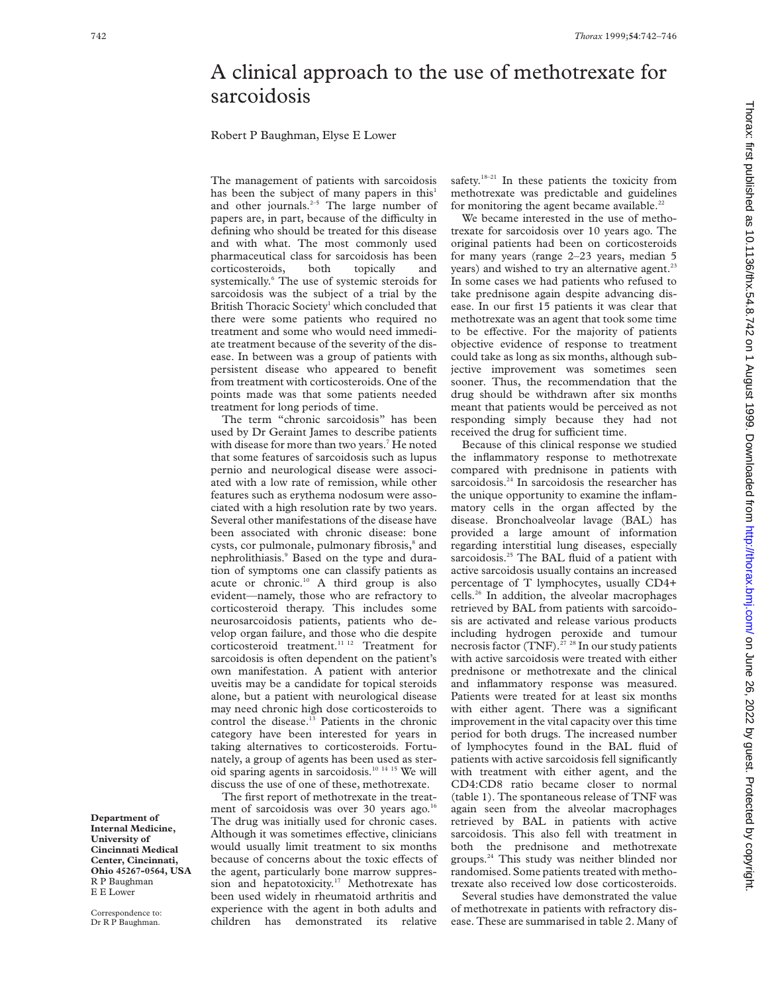## A clinical approach to the use of methotrexate for sarcoidosis

## Robert P Baughman, Elyse E Lower

The management of patients with sarcoidosis has been the subject of many papers in this<sup>1</sup> and other journals.<sup>2-5</sup> The large number of papers are, in part, because of the difficulty in defining who should be treated for this disease and with what. The most commonly used pharmaceutical class for sarcoidosis has been corticosteroids, both topically and systemically.<sup>6</sup> The use of systemic steroids for sarcoidosis was the subject of a trial by the British Thoracic Society<sup>1</sup> which concluded that there were some patients who required no treatment and some who would need immediate treatment because of the severity of the disease. In between was a group of patients with persistent disease who appeared to benefit from treatment with corticosteroids. One of the points made was that some patients needed treatment for long periods of time.

The term "chronic sarcoidosis" has been used by Dr Geraint James to describe patients with disease for more than two years.<sup>7</sup> He noted that some features of sarcoidosis such as lupus pernio and neurological disease were associated with a low rate of remission, while other features such as erythema nodosum were associated with a high resolution rate by two years. Several other manifestations of the disease have been associated with chronic disease: bone cysts, cor pulmonale, pulmonary fibrosis,<sup>8</sup> and nephrolithiasis.<sup>9</sup> Based on the type and duration of symptoms one can classify patients as acute or chronic.10 A third group is also evident—namely, those who are refractory to corticosteroid therapy. This includes some neurosarcoidosis patients, patients who develop organ failure, and those who die despite corticosteroid treatment.<sup>11 12</sup> Treatment for sarcoidosis is often dependent on the patient's own manifestation. A patient with anterior uveitis may be a candidate for topical steroids alone, but a patient with neurological disease may need chronic high dose corticosteroids to control the disease.<sup>13</sup> Patients in the chronic category have been interested for years in taking alternatives to corticosteroids. Fortunately, a group of agents has been used as steroid sparing agents in sarcoidosis.10 14 15 We will discuss the use of one of these, methotrexate.

The first report of methotrexate in the treatment of sarcoidosis was over 30 years ago.<sup>16</sup> The drug was initially used for chronic cases. Although it was sometimes effective, clinicians would usually limit treatment to six months because of concerns about the toxic effects of the agent, particularly bone marrow suppression and hepatotoxicity.<sup>17</sup> Methotrexate has been used widely in rheumatoid arthritis and experience with the agent in both adults and children has demonstrated its relative

safety.<sup>18-21</sup> In these patients the toxicity from methotrexate was predictable and guidelines for monitoring the agent became available. $22$ 

We became interested in the use of methotrexate for sarcoidosis over 10 years ago. The original patients had been on corticosteroids for many years (range 2–23 years, median 5 years) and wished to try an alternative agent.<sup>23</sup> In some cases we had patients who refused to take prednisone again despite advancing disease. In our first 15 patients it was clear that methotrexate was an agent that took some time to be effective. For the majority of patients objective evidence of response to treatment could take as long as six months, although subjective improvement was sometimes seen sooner. Thus, the recommendation that the drug should be withdrawn after six months meant that patients would be perceived as not responding simply because they had not received the drug for sufficient time.

Because of this clinical response we studied the inflammatory response to methotrexate compared with prednisone in patients with sarcoidosis.<sup>24</sup> In sarcoidosis the researcher has the unique opportunity to examine the inflammatory cells in the organ affected by the disease. Bronchoalveolar lavage (BAL) has provided a large amount of information regarding interstitial lung diseases, especially sarcoidosis.<sup>25</sup> The BAL fluid of a patient with active sarcoidosis usually contains an increased percentage of T lymphocytes, usually CD4+ cells.26 In addition, the alveolar macrophages retrieved by BAL from patients with sarcoidosis are activated and release various products including hydrogen peroxide and tumour necrosis factor (TNF).<sup>27</sup> <sup>28</sup> In our study patients with active sarcoidosis were treated with either prednisone or methotrexate and the clinical and inflammatory response was measured. Patients were treated for at least six months with either agent. There was a significant improvement in the vital capacity over this time period for both drugs. The increased number of lymphocytes found in the BAL fluid of patients with active sarcoidosis fell significantly with treatment with either agent, and the CD4:CD8 ratio became closer to normal (table 1). The spontaneous release of TNF was again seen from the alveolar macrophages retrieved by BAL in patients with active sarcoidosis. This also fell with treatment in both the prednisone and methotrexate groups.24 This study was neither blinded nor randomised. Some patients treated with methotrexate also received low dose corticosteroids.

Several studies have demonstrated the value of methotrexate in patients with refractory disease. These are summarised in table 2. Many of Thorax: first published as 10.1136/thx.54.8.742 on 1 August 1999. Downloaded from http://thorax.bmj.com/ on June 26, 2022 by guest. Protected by copyright Thorax: first published as 10.1136/thx.54.8.742 on June 26, 2022 by Guest published as 1999. Downloaded from <http://thorax.bmj.com/> On 1 August 1999. Downloaded by copyright.

Correspondence to: Dr R P Baughman.

**Department of Internal Medicine, University of Cincinnati Medical Center, Cincinnati, Ohio 45267-0564, USA** R P Baughman E E Lower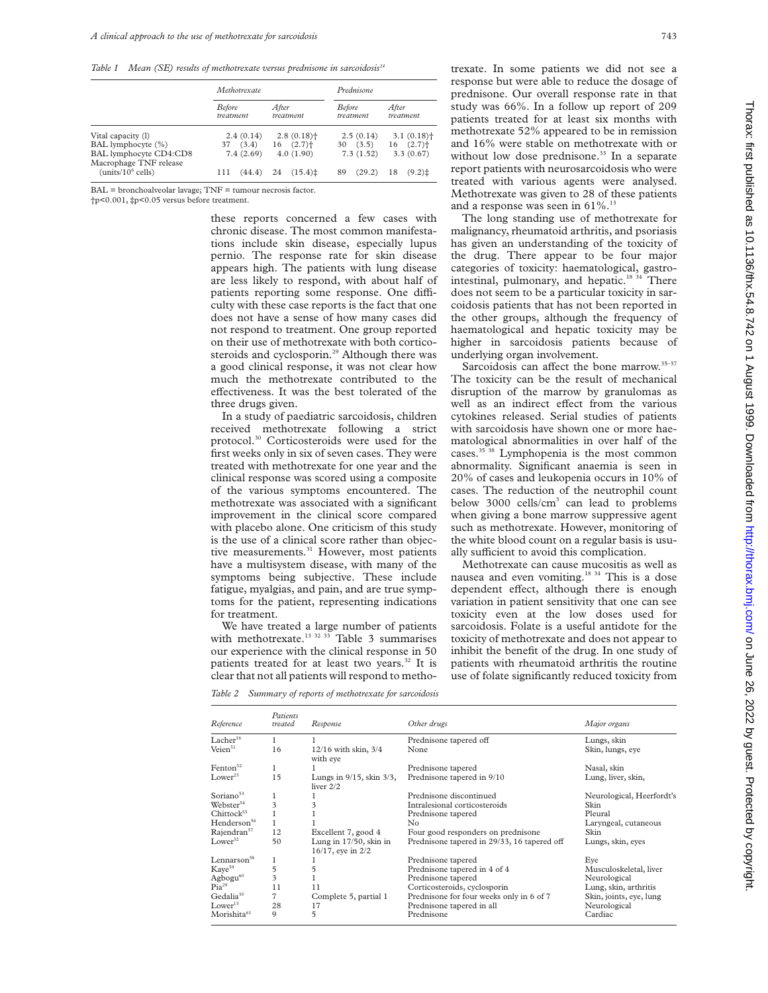Table 1 Mean (SE) results of methotrexate versus prednisone in sarcoidosis<sup>24</sup>

|                                                  | Methotrexate                |                             | Prednisone                  |                                           |
|--------------------------------------------------|-----------------------------|-----------------------------|-----------------------------|-------------------------------------------|
|                                                  | <b>Before</b><br>treatment. | After<br>treatment.         | <b>Before</b><br>treatment. | After<br><i>treatment</i>                 |
| Vital capacity (1)                               | 2.4(0.14)                   | $2.8(0.18)$ <sup>+</sup>    | 2.5(0.14)                   | $3.1(0.18)$ <sup>+</sup>                  |
| BAL lymphocyte (%)                               | (3.4)<br>37                 | 16(2.7)                     | 30(3.5)                     | $16(2.7)$ <sup>+</sup>                    |
| BAL lymphocyte CD4:CD8<br>Macrophage TNF release | 7.4(2.69)                   | 4.0(1.90)                   | 7.3(1.52)                   | 3.3(0.67)                                 |
| (units/10 <sup>6</sup> cells)                    | (44.4)<br>111               | $(15.4)$ <sup>±</sup><br>24 | 89<br>(29.2)                | $(9.2)$ <sup><math>\pm</math></sup><br>18 |

BAL = bronchoalveolar lavage; TNF = tumour necrosis factor.

†p<0.001, ‡p<0.05 versus before treatment.

these reports concerned a few cases with chronic disease. The most common manifestations include skin disease, especially lupus pernio. The response rate for skin disease appears high. The patients with lung disease are less likely to respond, with about half of patients reporting some response. One difficulty with these case reports is the fact that one does not have a sense of how many cases did not respond to treatment. One group reported on their use of methotrexate with both corticosteroids and cyclosporin.<sup>29</sup> Although there was a good clinical response, it was not clear how much the methotrexate contributed to the effectiveness. It was the best tolerated of the three drugs given.

In a study of paediatric sarcoidosis, children received methotrexate following a strict protocol.30 Corticosteroids were used for the first weeks only in six of seven cases. They were treated with methotrexate for one year and the clinical response was scored using a composite of the various symptoms encountered. The methotrexate was associated with a significant improvement in the clinical score compared with placebo alone. One criticism of this study is the use of a clinical score rather than objective measurements.<sup>31</sup> However, most patients have a multisystem disease, with many of the symptoms being subjective. These include fatigue, myalgias, and pain, and are true symptoms for the patient, representing indications for treatment.

We have treated a large number of patients with methotrexate.<sup>13 32 33</sup> Table 3 summarises our experience with the clinical response in 50 patients treated for at least two years.<sup>32</sup> It is clear that not all patients will respond to methotrexate. In some patients we did not see a response but were able to reduce the dosage of prednisone. Our overall response rate in that study was 66%. In a follow up report of 209 patients treated for at least six months with methotrexate 52% appeared to be in remission and 16% were stable on methotrexate with or without low dose prednisone.<sup>33</sup> In a separate report patients with neurosarcoidosis who were treated with various agents were analysed. Methotrexate was given to 28 of these patients and a response was seen in  $61\%$ .<sup>13</sup>

The long standing use of methotrexate for malignancy, rheumatoid arthritis, and psoriasis has given an understanding of the toxicity of the drug. There appear to be four major categories of toxicity: haematological, gastrointestinal, pulmonary, and hepatic.<sup>18 34</sup> There does not seem to be a particular toxicity in sarcoidosis patients that has not been reported in the other groups, although the frequency of haematological and hepatic toxicity may be higher in sarcoidosis patients because of underlying organ involvement.

Sarcoidosis can affect the bone marrow. $35-37$ The toxicity can be the result of mechanical disruption of the marrow by granulomas as well as an indirect effect from the various cytokines released. Serial studies of patients with sarcoidosis have shown one or more haematological abnormalities in over half of the cases.<sup>35 38</sup> Lymphopenia is the most common abnormality. Significant anaemia is seen in 20% of cases and leukopenia occurs in 10% of cases. The reduction of the neutrophil count below 3000 cells/cm<sup>3</sup> can lead to problems when giving a bone marrow suppressive agent such as methotrexate. However, monitoring of the white blood count on a regular basis is usually sufficient to avoid this complication.

Methotrexate can cause mucositis as well as nausea and even vomiting.18 34 This is a dose dependent effect, although there is enough variation in patient sensitivity that one can see toxicity even at the low doses used for sarcoidosis. Folate is a useful antidote for the toxicity of methotrexate and does not appear to inhibit the benefit of the drug. In one study of patients with rheumatoid arthritis the routine use of folate significantly reduced toxicity from

*Table 2 Summary of reports of methotrexate for sarcoidosis*

| Reference               | Patients<br>treated | Response                                      | Other drugs                                 | Major organs              |
|-------------------------|---------------------|-----------------------------------------------|---------------------------------------------|---------------------------|
| $\rm Lacher^{16}$       |                     |                                               | Prednisone tapered off                      | Lungs, skin               |
| Veien <sup>51</sup>     | 16                  | $12/16$ with skin, $3/4$<br>with eye          | None                                        | Skin, lungs, eye          |
| $\rm Fenton^{52}$       | 1                   |                                               | Prednisone tapered                          | Nasal, skin               |
| $Lower^{23}$            | 15                  | Lungs in $9/15$ , skin $3/3$ ,<br>liver $2/2$ | Prednisone tapered in 9/10                  | Lung, liver, skin,        |
| Soriano <sup>53</sup>   |                     |                                               | Prednisone discontinued                     | Neurological, Heerfordt's |
| Webster <sup>54</sup>   | 3                   | 3                                             | Intralesional corticosteroids               | Skin                      |
| Chittock <sup>55</sup>  |                     |                                               | Prednisone tapered                          | Pleural                   |
| $\rm{Henderson}^{56}$   |                     |                                               | No.                                         | Laryngeal, cutaneous      |
| Rajendran <sup>57</sup> | 12                  | Excellent 7, good 4                           | Four good responders on prednisone          | Skin                      |
| $Lower^{32}$            | 50                  | Lung in 17/50, skin in<br>16/17, eye in 2/2   | Prednisone tapered in 29/33, 16 tapered off | Lungs, skin, eyes         |
| Lennarson <sup>58</sup> | 1                   |                                               | Prednisone tapered                          | Eye                       |
| Kaye <sup>59</sup>      | 5                   | 5                                             | Prednisone tapered in 4 of 4                | Musculoskeletal, liver    |
| Agbogu <sup>60</sup>    | 3                   |                                               | Prednisone tapered                          | Neurological              |
| $Pia^{29}$              | 11                  | 11                                            | Corticosteroids, cyclosporin                | Lung, skin, arthritis     |
| $G$ edalia $^{30}$      | 7                   | Complete 5, partial 1                         | Prednisone for four weeks only in 6 of 7    | Skin, joints, eye, lung   |
| Lower <sup>13</sup>     | 28                  | 17                                            | Prednisone tapered in all                   | Neurological              |
| Morishita <sup>61</sup> | 9                   | 5                                             | Prednisone                                  | Cardiac                   |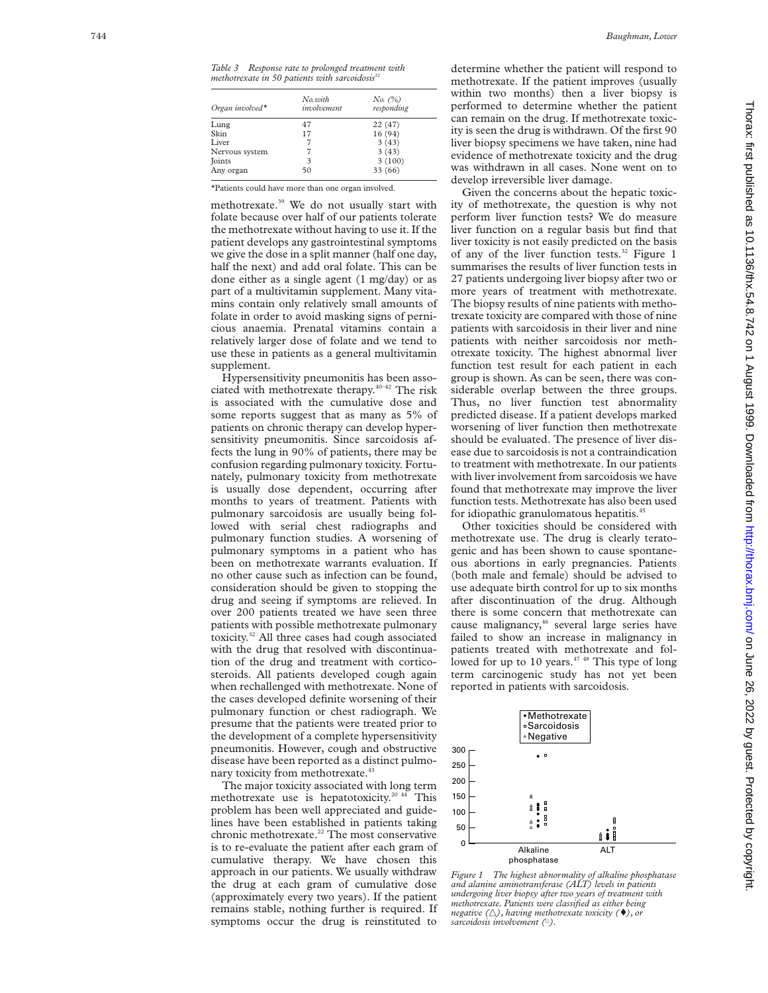| Organ involved $*$ | No with<br>involvement | No. (%)<br>responding |
|--------------------|------------------------|-----------------------|
| Lung               | 47                     | 22 (47)               |
| Skin               | 17                     | 16 (94)               |
| Liver              |                        | 3(43)                 |
| Nervous system     |                        | 3(43)                 |
| <b>Toints</b>      | 3                      | 3(100)                |
| Any organ          | 50                     | 33 (66)               |

\*Patients could have more than one organ involved.

methotrexate.<sup>39</sup> We do not usually start with folate because over half of our patients tolerate the methotrexate without having to use it. If the patient develops any gastrointestinal symptoms we give the dose in a split manner (half one day, half the next) and add oral folate. This can be done either as a single agent (1 mg/day) or as part of a multivitamin supplement. Many vitamins contain only relatively small amounts of folate in order to avoid masking signs of pernicious anaemia. Prenatal vitamins contain a relatively larger dose of folate and we tend to use these in patients as a general multivitamin supplement.

Hypersensitivity pneumonitis has been associated with methotrexate therapy. $40-42$  The risk is associated with the cumulative dose and some reports suggest that as many as 5% of patients on chronic therapy can develop hypersensitivity pneumonitis. Since sarcoidosis affects the lung in 90% of patients, there may be confusion regarding pulmonary toxicity. Fortunately, pulmonary toxicity from methotrexate is usually dose dependent, occurring after months to years of treatment. Patients with pulmonary sarcoidosis are usually being followed with serial chest radiographs and pulmonary function studies. A worsening of pulmonary symptoms in a patient who has been on methotrexate warrants evaluation. If no other cause such as infection can be found, consideration should be given to stopping the drug and seeing if symptoms are relieved. In over 200 patients treated we have seen three patients with possible methotrexate pulmonary toxicity.32 All three cases had cough associated with the drug that resolved with discontinuation of the drug and treatment with corticosteroids. All patients developed cough again when rechallenged with methotrexate. None of the cases developed definite worsening of their pulmonary function or chest radiograph. We presume that the patients were treated prior to the development of a complete hypersensitivity pneumonitis. However, cough and obstructive disease have been reported as a distinct pulmonary toxicity from methotrexate.<sup>43</sup>

The major toxicity associated with long term methotrexate use is hepatotoxicity.<sup>20 44</sup> This problem has been well appreciated and guidelines have been established in patients taking chronic methotrexate.<sup>22</sup> The most conservative is to re-evaluate the patient after each gram of cumulative therapy. We have chosen this approach in our patients. We usually withdraw the drug at each gram of cumulative dose (approximately every two years). If the patient remains stable, nothing further is required. If symptoms occur the drug is reinstituted to

determine whether the patient will respond to methotrexate. If the patient improves (usually within two months) then a liver biopsy is performed to determine whether the patient can remain on the drug. If methotrexate toxicity is seen the drug is withdrawn. Of the first 90 liver biopsy specimens we have taken, nine had evidence of methotrexate toxicity and the drug was withdrawn in all cases. None went on to develop irreversible liver damage.

Given the concerns about the hepatic toxicity of methotrexate, the question is why not perform liver function tests? We do measure liver function on a regular basis but find that liver toxicity is not easily predicted on the basis of any of the liver function tests.<sup>32</sup> Figure 1 summarises the results of liver function tests in 27 patients undergoing liver biopsy after two or more years of treatment with methotrexate. The biopsy results of nine patients with methotrexate toxicity are compared with those of nine patients with sarcoidosis in their liver and nine patients with neither sarcoidosis nor methotrexate toxicity. The highest abnormal liver function test result for each patient in each group is shown. As can be seen, there was considerable overlap between the three groups. Thus, no liver function test abnormality predicted disease. If a patient develops marked worsening of liver function then methotrexate should be evaluated. The presence of liver disease due to sarcoidosis is not a contraindication to treatment with methotrexate. In our patients with liver involvement from sarcoidosis we have found that methotrexate may improve the liver function tests. Methotrexate has also been used for idiopathic granulomatous hepatitis.45

Other toxicities should be considered with methotrexate use. The drug is clearly teratogenic and has been shown to cause spontaneous abortions in early pregnancies. Patients (both male and female) should be advised to use adequate birth control for up to six months after discontinuation of the drug. Although there is some concern that methotrexate can cause malignancy,<sup>46</sup> several large series have failed to show an increase in malignancy in patients treated with methotrexate and followed for up to 10 years.<sup>47 48</sup> This type of long term carcinogenic study has not yet been reported in patients with sarcoidosis.



*Figure 1 The highest abnormality of alkaline phosphatase and alanine aminotransferase (ALT) levels in patients undergoing liver biopsy after two years of treatment with methotrexate. Patients were classified as either being negative (*n*), having methotrexate toxicity (* ♦*), or sarcoidosis involvement (*È*).*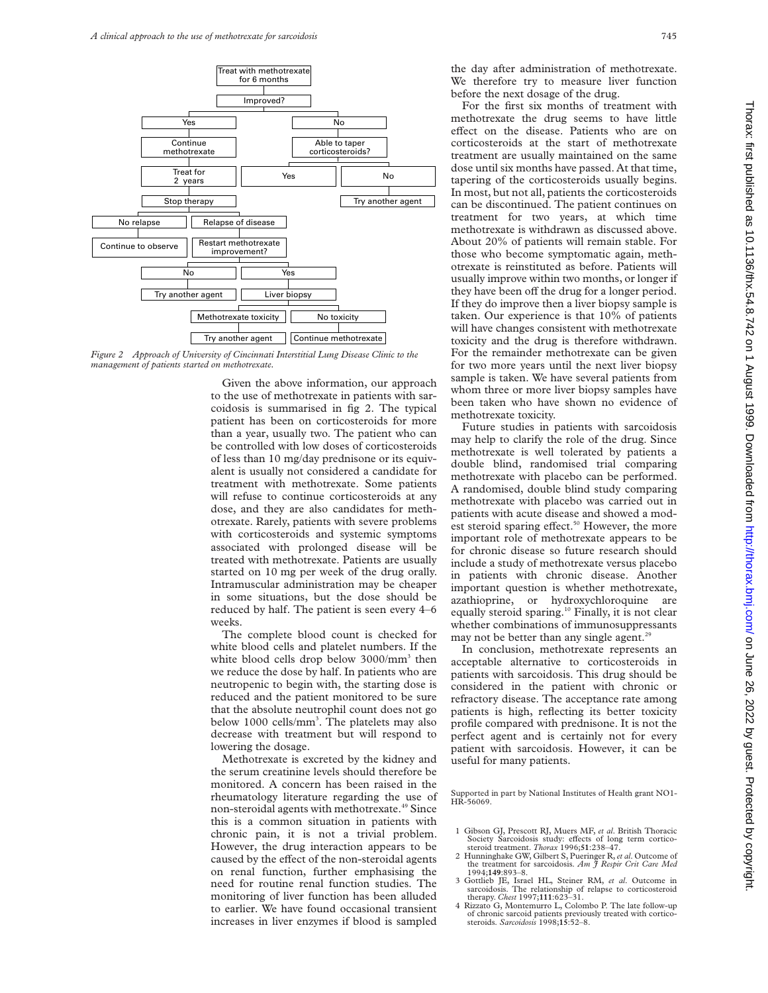

*Figure 2 Approach of University of Cincinnati Interstitial Lung Disease Clinic to the management of patients started on methotrexate.*

Given the above information, our approach to the use of methotrexate in patients with sarcoidosis is summarised in fig 2. The typical patient has been on corticosteroids for more than a year, usually two. The patient who can be controlled with low doses of corticosteroids of less than 10 mg/day prednisone or its equivalent is usually not considered a candidate for treatment with methotrexate. Some patients will refuse to continue corticosteroids at any dose, and they are also candidates for methotrexate. Rarely, patients with severe problems with corticosteroids and systemic symptoms associated with prolonged disease will be treated with methotrexate. Patients are usually started on 10 mg per week of the drug orally. Intramuscular administration may be cheaper in some situations, but the dose should be reduced by half. The patient is seen every 4–6 weeks.

The complete blood count is checked for white blood cells and platelet numbers. If the white blood cells drop below 3000/mm<sup>3</sup> then we reduce the dose by half. In patients who are neutropenic to begin with, the starting dose is reduced and the patient monitored to be sure that the absolute neutrophil count does not go below 1000 cells/mm<sup>3</sup>. The platelets may also decrease with treatment but will respond to lowering the dosage.

Methotrexate is excreted by the kidney and the serum creatinine levels should therefore be monitored. A concern has been raised in the rheumatology literature regarding the use of non-steroidal agents with methotrexate.<sup>49</sup> Since this is a common situation in patients with chronic pain, it is not a trivial problem. However, the drug interaction appears to be caused by the effect of the non-steroidal agents on renal function, further emphasising the need for routine renal function studies. The monitoring of liver function has been alluded to earlier. We have found occasional transient increases in liver enzymes if blood is sampled

the day after administration of methotrexate. We therefore try to measure liver function before the next dosage of the drug.

For the first six months of treatment with methotrexate the drug seems to have little effect on the disease. Patients who are on corticosteroids at the start of methotrexate treatment are usually maintained on the same dose until six months have passed. At that time, tapering of the corticosteroids usually begins. In most, but not all, patients the corticosteroids can be discontinued. The patient continues on treatment for two years, at which time methotrexate is withdrawn as discussed above. About 20% of patients will remain stable. For those who become symptomatic again, methotrexate is reinstituted as before. Patients will usually improve within two months, or longer if they have been off the drug for a longer period. If they do improve then a liver biopsy sample is taken. Our experience is that 10% of patients will have changes consistent with methotrexate toxicity and the drug is therefore withdrawn. For the remainder methotrexate can be given for two more years until the next liver biopsy sample is taken. We have several patients from whom three or more liver biopsy samples have been taken who have shown no evidence of methotrexate toxicity.

Future studies in patients with sarcoidosis may help to clarify the role of the drug. Since methotrexate is well tolerated by patients a double blind, randomised trial comparing methotrexate with placebo can be performed. A randomised, double blind study comparing methotrexate with placebo was carried out in patients with acute disease and showed a modest steroid sparing effect.<sup>50</sup> However, the more important role of methotrexate appears to be for chronic disease so future research should include a study of methotrexate versus placebo in patients with chronic disease. Another important question is whether methotrexate, azathioprine, or hydroxychloroquine are equally steroid sparing.<sup>10</sup> Finally, it is not clear whether combinations of immunosuppressants may not be better than any single agent.<sup>29</sup>

In conclusion, methotrexate represents an acceptable alternative to corticosteroids in patients with sarcoidosis. This drug should be considered in the patient with chronic or refractory disease. The acceptance rate among patients is high, reflecting its better toxicity profile compared with prednisone. It is not the perfect agent and is certainly not for every patient with sarcoidosis. However, it can be useful for many patients.

Supported in part by National Institutes of Health grant NO1- HR-56069.

- 1 Gibson GJ, Prescott RJ, Muers MF, *et al*. British Thoracic Society Sarcoidosis study: effects of long term cortico-<br>steroid treatment. *Thorax* 1996;51:238–47.
- 2 Hunninghake GW, Gilbert S, Pueringer R,*et al*. Outcome of the treatment for sarcoidosis. *Am J Respir Crit Care Med* 1994;**149**:893–8.
- 3 Gottlieb JE, Israel HL, Steiner RM, *et al*. Outcome in sarcoidosis. The relationship of relapse to corticosteroid therapy. *Chest* 1997;**111**:623–31.
- 4 Rizzato G, Montemurro L, Colombo P. The late follow-up of chronic sarcoid patients previously treated with corticosteroids. *Sarcoidosis* 1998;**15**:52–8.